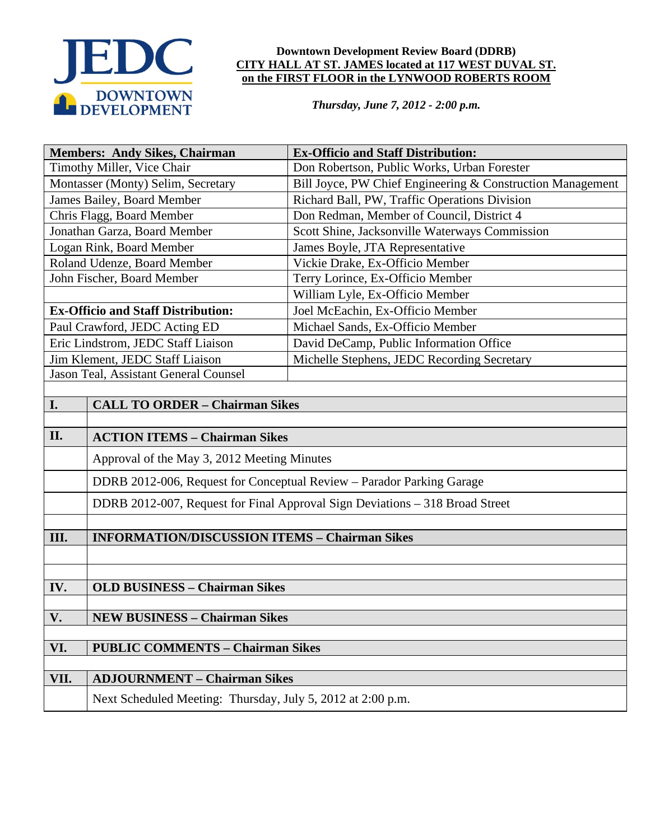

### **Downtown Development Review Board (DDRB) CITY HALL AT ST. JAMES located at 117 WEST DUVAL ST. on the FIRST FLOOR in the LYNWOOD ROBERTS ROOM**

*Thursday, June 7, 2012 - 2:00 p.m.*

| <b>Members: Andy Sikes, Chairman</b>           |                                                                              | <b>Ex-Officio and Staff Distribution:</b>                  |
|------------------------------------------------|------------------------------------------------------------------------------|------------------------------------------------------------|
| Timothy Miller, Vice Chair                     |                                                                              | Don Robertson, Public Works, Urban Forester                |
| Montasser (Monty) Selim, Secretary             |                                                                              | Bill Joyce, PW Chief Engineering & Construction Management |
| James Bailey, Board Member                     |                                                                              | Richard Ball, PW, Traffic Operations Division              |
| Chris Flagg, Board Member                      |                                                                              | Don Redman, Member of Council, District 4                  |
| Jonathan Garza, Board Member                   |                                                                              | Scott Shine, Jacksonville Waterways Commission             |
| Logan Rink, Board Member                       |                                                                              | James Boyle, JTA Representative                            |
| Roland Udenze, Board Member                    |                                                                              | Vickie Drake, Ex-Officio Member                            |
| John Fischer, Board Member                     |                                                                              | Terry Lorince, Ex-Officio Member                           |
|                                                |                                                                              | William Lyle, Ex-Officio Member                            |
| <b>Ex-Officio and Staff Distribution:</b>      |                                                                              | Joel McEachin, Ex-Officio Member                           |
| Paul Crawford, JEDC Acting ED                  |                                                                              | Michael Sands, Ex-Officio Member                           |
| Eric Lindstrom, JEDC Staff Liaison             |                                                                              | David DeCamp, Public Information Office                    |
| Jim Klement, JEDC Staff Liaison                |                                                                              | Michelle Stephens, JEDC Recording Secretary                |
| Jason Teal, Assistant General Counsel          |                                                                              |                                                            |
|                                                |                                                                              |                                                            |
| I.                                             | <b>CALL TO ORDER - Chairman Sikes</b>                                        |                                                            |
|                                                |                                                                              |                                                            |
| II.                                            | <b>ACTION ITEMS - Chairman Sikes</b>                                         |                                                            |
|                                                | Approval of the May 3, 2012 Meeting Minutes                                  |                                                            |
|                                                | DDRB 2012-006, Request for Conceptual Review - Parador Parking Garage        |                                                            |
|                                                | DDRB 2012-007, Request for Final Approval Sign Deviations - 318 Broad Street |                                                            |
|                                                |                                                                              |                                                            |
| III.                                           | <b>INFORMATION/DISCUSSION ITEMS - Chairman Sikes</b>                         |                                                            |
|                                                |                                                                              |                                                            |
|                                                |                                                                              |                                                            |
| IV.                                            | <b>OLD BUSINESS - Chairman Sikes</b>                                         |                                                            |
| V.                                             | <b>NEW BUSINESS - Chairman Sikes</b>                                         |                                                            |
|                                                |                                                                              |                                                            |
| VI.<br><b>PUBLIC COMMENTS - Chairman Sikes</b> |                                                                              |                                                            |
|                                                |                                                                              |                                                            |
| VII.                                           | <b>ADJOURNMENT - Chairman Sikes</b>                                          |                                                            |
|                                                | Next Scheduled Meeting: Thursday, July 5, 2012 at 2:00 p.m.                  |                                                            |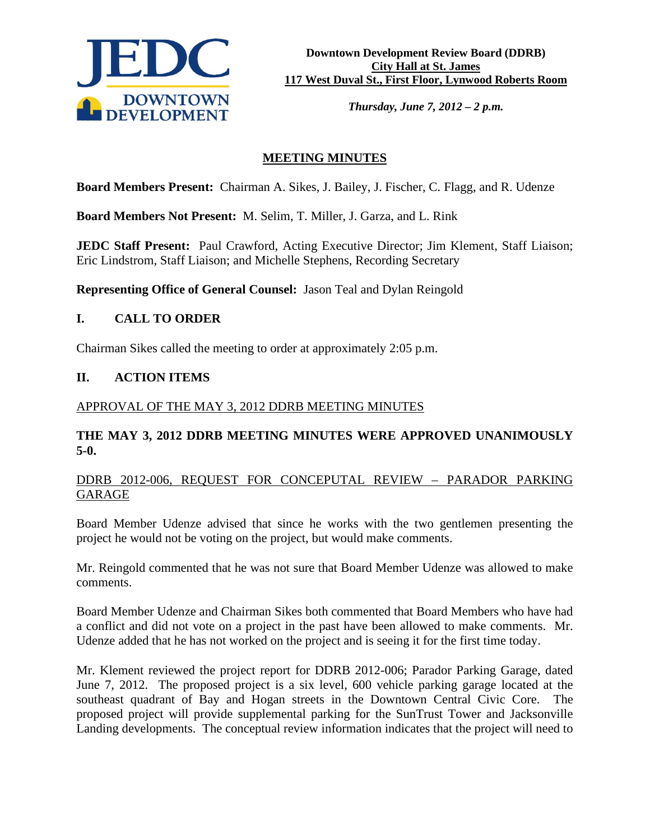

*Thursday, June 7, 2012 – 2 p.m.*

# **MEETING MINUTES**

**Board Members Present:** Chairman A. Sikes, J. Bailey, J. Fischer, C. Flagg, and R. Udenze

**Board Members Not Present:** M. Selim, T. Miller, J. Garza, and L. Rink

**JEDC Staff Present:** Paul Crawford, Acting Executive Director; Jim Klement, Staff Liaison; Eric Lindstrom, Staff Liaison; and Michelle Stephens, Recording Secretary

**Representing Office of General Counsel:** Jason Teal and Dylan Reingold

## **I. CALL TO ORDER**

Chairman Sikes called the meeting to order at approximately 2:05 p.m.

## **II. ACTION ITEMS**

### APPROVAL OF THE MAY 3, 2012 DDRB MEETING MINUTES

## **THE MAY 3, 2012 DDRB MEETING MINUTES WERE APPROVED UNANIMOUSLY 5-0.**

## DDRB 2012-006, REQUEST FOR CONCEPUTAL REVIEW – PARADOR PARKING GARAGE

Board Member Udenze advised that since he works with the two gentlemen presenting the project he would not be voting on the project, but would make comments.

Mr. Reingold commented that he was not sure that Board Member Udenze was allowed to make comments.

Board Member Udenze and Chairman Sikes both commented that Board Members who have had a conflict and did not vote on a project in the past have been allowed to make comments. Mr. Udenze added that he has not worked on the project and is seeing it for the first time today.

Mr. Klement reviewed the project report for DDRB 2012-006; Parador Parking Garage, dated June 7, 2012. The proposed project is a six level, 600 vehicle parking garage located at the southeast quadrant of Bay and Hogan streets in the Downtown Central Civic Core. The proposed project will provide supplemental parking for the SunTrust Tower and Jacksonville Landing developments. The conceptual review information indicates that the project will need to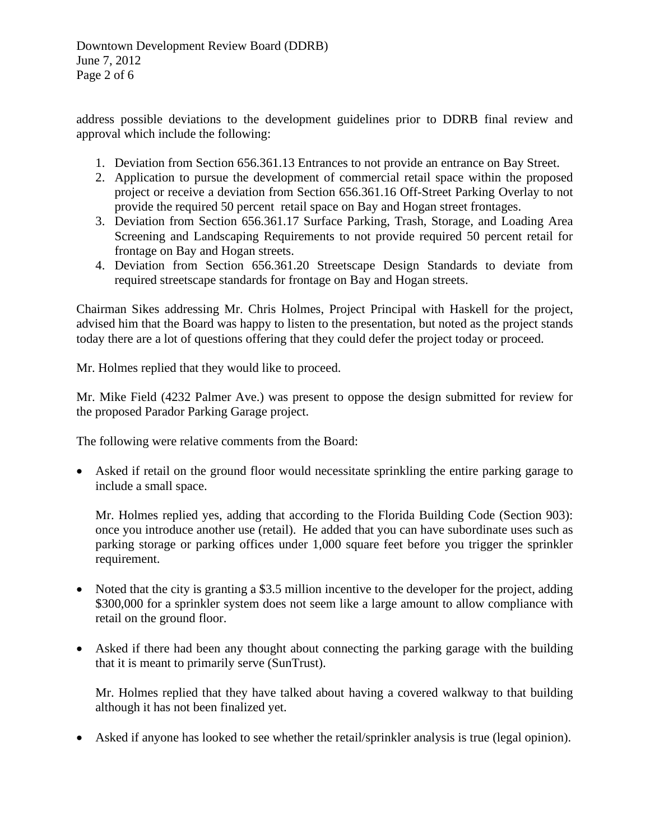Downtown Development Review Board (DDRB) June 7, 2012 Page 2 of 6

address possible deviations to the development guidelines prior to DDRB final review and approval which include the following:

- 1. Deviation from Section 656.361.13 Entrances to not provide an entrance on Bay Street.
- 2. Application to pursue the development of commercial retail space within the proposed project or receive a deviation from Section 656.361.16 Off-Street Parking Overlay to not provide the required 50 percent retail space on Bay and Hogan street frontages.
- 3. Deviation from Section 656.361.17 Surface Parking, Trash, Storage, and Loading Area Screening and Landscaping Requirements to not provide required 50 percent retail for frontage on Bay and Hogan streets.
- 4. Deviation from Section 656.361.20 Streetscape Design Standards to deviate from required streetscape standards for frontage on Bay and Hogan streets.

Chairman Sikes addressing Mr. Chris Holmes, Project Principal with Haskell for the project, advised him that the Board was happy to listen to the presentation, but noted as the project stands today there are a lot of questions offering that they could defer the project today or proceed.

Mr. Holmes replied that they would like to proceed.

Mr. Mike Field (4232 Palmer Ave.) was present to oppose the design submitted for review for the proposed Parador Parking Garage project.

The following were relative comments from the Board:

• Asked if retail on the ground floor would necessitate sprinkling the entire parking garage to include a small space.

Mr. Holmes replied yes, adding that according to the Florida Building Code (Section 903): once you introduce another use (retail). He added that you can have subordinate uses such as parking storage or parking offices under 1,000 square feet before you trigger the sprinkler requirement.

- Noted that the city is granting a \$3.5 million incentive to the developer for the project, adding \$300,000 for a sprinkler system does not seem like a large amount to allow compliance with retail on the ground floor.
- Asked if there had been any thought about connecting the parking garage with the building that it is meant to primarily serve (SunTrust).

Mr. Holmes replied that they have talked about having a covered walkway to that building although it has not been finalized yet.

• Asked if anyone has looked to see whether the retail/sprinkler analysis is true (legal opinion).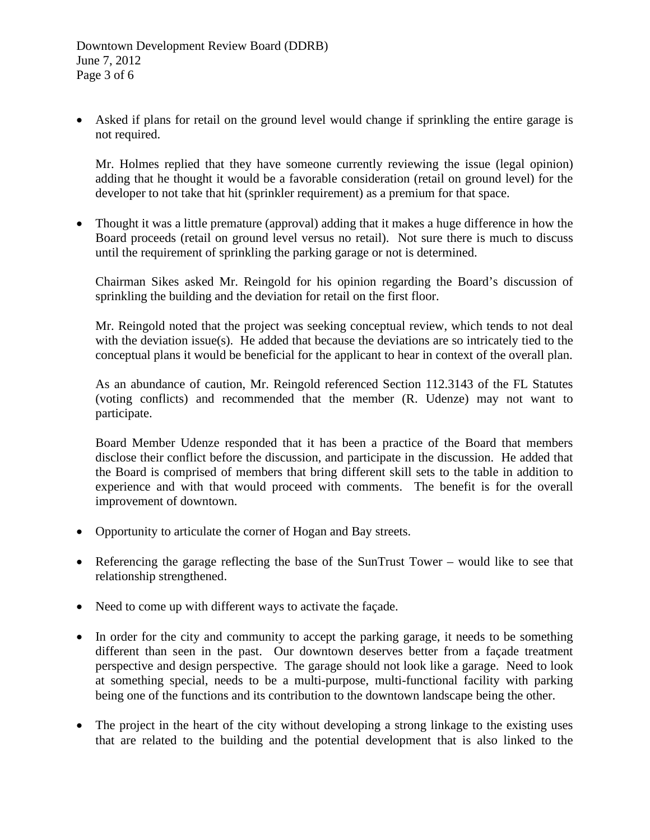Asked if plans for retail on the ground level would change if sprinkling the entire garage is not required.

Mr. Holmes replied that they have someone currently reviewing the issue (legal opinion) adding that he thought it would be a favorable consideration (retail on ground level) for the developer to not take that hit (sprinkler requirement) as a premium for that space.

• Thought it was a little premature (approval) adding that it makes a huge difference in how the Board proceeds (retail on ground level versus no retail). Not sure there is much to discuss until the requirement of sprinkling the parking garage or not is determined.

Chairman Sikes asked Mr. Reingold for his opinion regarding the Board's discussion of sprinkling the building and the deviation for retail on the first floor.

Mr. Reingold noted that the project was seeking conceptual review, which tends to not deal with the deviation issue(s). He added that because the deviations are so intricately tied to the conceptual plans it would be beneficial for the applicant to hear in context of the overall plan.

As an abundance of caution, Mr. Reingold referenced Section 112.3143 of the FL Statutes (voting conflicts) and recommended that the member (R. Udenze) may not want to participate.

Board Member Udenze responded that it has been a practice of the Board that members disclose their conflict before the discussion, and participate in the discussion. He added that the Board is comprised of members that bring different skill sets to the table in addition to experience and with that would proceed with comments. The benefit is for the overall improvement of downtown.

- Opportunity to articulate the corner of Hogan and Bay streets.
- Referencing the garage reflecting the base of the SunTrust Tower would like to see that relationship strengthened.
- Need to come up with different ways to activate the façade.
- In order for the city and community to accept the parking garage, it needs to be something different than seen in the past. Our downtown deserves better from a façade treatment perspective and design perspective. The garage should not look like a garage. Need to look at something special, needs to be a multi-purpose, multi-functional facility with parking being one of the functions and its contribution to the downtown landscape being the other.
- The project in the heart of the city without developing a strong linkage to the existing uses that are related to the building and the potential development that is also linked to the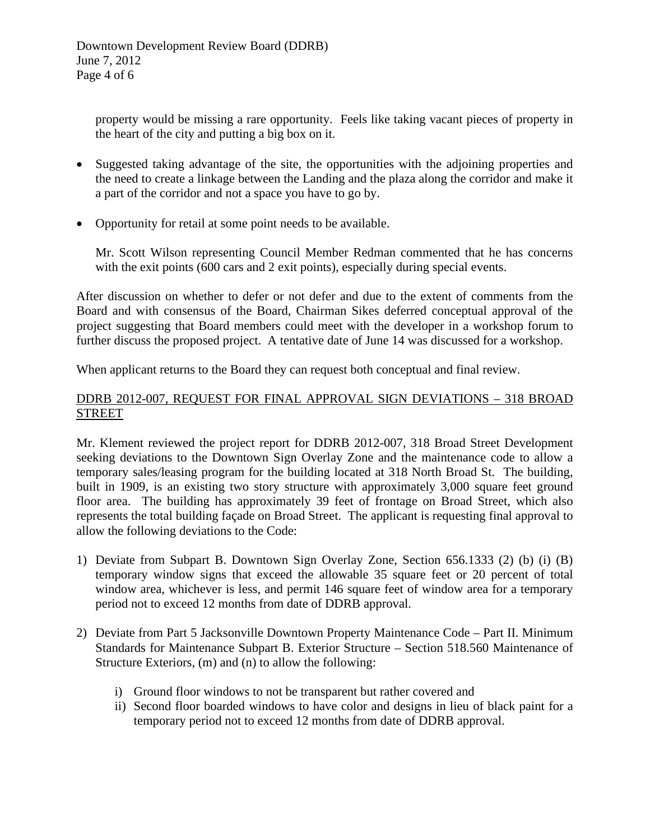property would be missing a rare opportunity. Feels like taking vacant pieces of property in the heart of the city and putting a big box on it.

- Suggested taking advantage of the site, the opportunities with the adjoining properties and the need to create a linkage between the Landing and the plaza along the corridor and make it a part of the corridor and not a space you have to go by.
- Opportunity for retail at some point needs to be available.

Mr. Scott Wilson representing Council Member Redman commented that he has concerns with the exit points (600 cars and 2 exit points), especially during special events.

After discussion on whether to defer or not defer and due to the extent of comments from the Board and with consensus of the Board, Chairman Sikes deferred conceptual approval of the project suggesting that Board members could meet with the developer in a workshop forum to further discuss the proposed project. A tentative date of June 14 was discussed for a workshop.

When applicant returns to the Board they can request both conceptual and final review.

### DDRB 2012-007, REQUEST FOR FINAL APPROVAL SIGN DEVIATIONS – 318 BROAD STREET

Mr. Klement reviewed the project report for DDRB 2012-007, 318 Broad Street Development seeking deviations to the Downtown Sign Overlay Zone and the maintenance code to allow a temporary sales/leasing program for the building located at 318 North Broad St. The building, built in 1909, is an existing two story structure with approximately 3,000 square feet ground floor area. The building has approximately 39 feet of frontage on Broad Street, which also represents the total building façade on Broad Street. The applicant is requesting final approval to allow the following deviations to the Code:

- 1) Deviate from Subpart B. Downtown Sign Overlay Zone, Section 656.1333 (2) (b) (i) (B) temporary window signs that exceed the allowable 35 square feet or 20 percent of total window area, whichever is less, and permit 146 square feet of window area for a temporary period not to exceed 12 months from date of DDRB approval.
- 2) Deviate from Part 5 Jacksonville Downtown Property Maintenance Code Part II. Minimum Standards for Maintenance Subpart B. Exterior Structure – Section 518.560 Maintenance of Structure Exteriors, (m) and (n) to allow the following:
	- i) Ground floor windows to not be transparent but rather covered and
	- ii) Second floor boarded windows to have color and designs in lieu of black paint for a temporary period not to exceed 12 months from date of DDRB approval.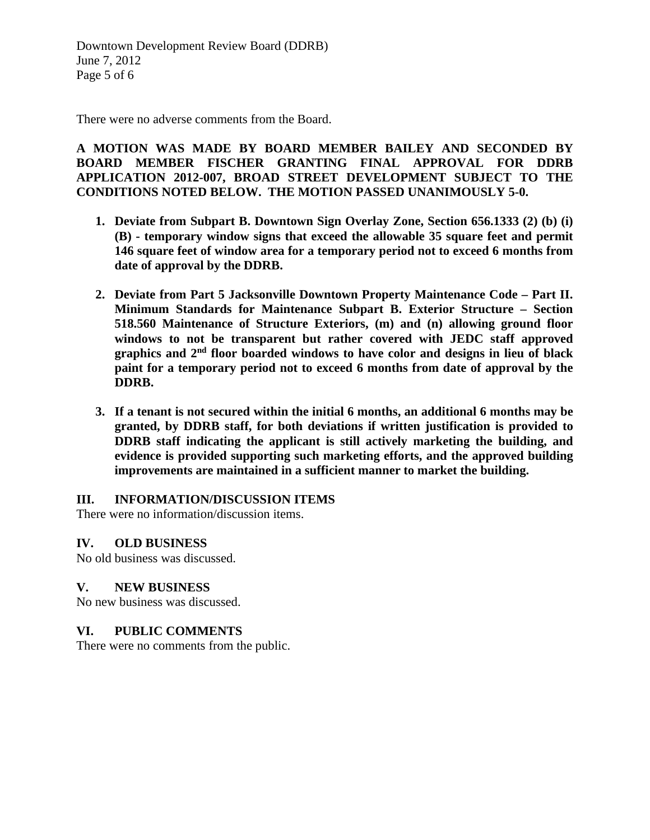Downtown Development Review Board (DDRB) June 7, 2012 Page 5 of 6

There were no adverse comments from the Board.

**A MOTION WAS MADE BY BOARD MEMBER BAILEY AND SECONDED BY BOARD MEMBER FISCHER GRANTING FINAL APPROVAL FOR DDRB APPLICATION 2012-007, BROAD STREET DEVELOPMENT SUBJECT TO THE CONDITIONS NOTED BELOW. THE MOTION PASSED UNANIMOUSLY 5-0.** 

- **1. Deviate from Subpart B. Downtown Sign Overlay Zone, Section 656.1333 (2) (b) (i) (B) - temporary window signs that exceed the allowable 35 square feet and permit 146 square feet of window area for a temporary period not to exceed 6 months from date of approval by the DDRB.**
- **2. Deviate from Part 5 Jacksonville Downtown Property Maintenance Code – Part II. Minimum Standards for Maintenance Subpart B. Exterior Structure – Section 518.560 Maintenance of Structure Exteriors, (m) and (n) allowing ground floor windows to not be transparent but rather covered with JEDC staff approved graphics and 2nd floor boarded windows to have color and designs in lieu of black paint for a temporary period not to exceed 6 months from date of approval by the DDRB.**
- **3. If a tenant is not secured within the initial 6 months, an additional 6 months may be granted, by DDRB staff, for both deviations if written justification is provided to DDRB staff indicating the applicant is still actively marketing the building, and evidence is provided supporting such marketing efforts, and the approved building improvements are maintained in a sufficient manner to market the building.**

### **III. INFORMATION/DISCUSSION ITEMS**

There were no information/discussion items.

### **IV. OLD BUSINESS**

No old business was discussed.

### **V. NEW BUSINESS**

No new business was discussed.

### **VI. PUBLIC COMMENTS**

There were no comments from the public.